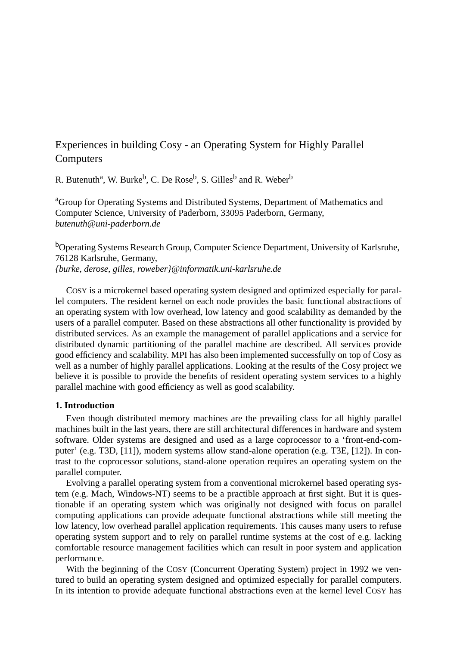# Experiences in building Cosy - an Operating System for Highly Parallel Computers

R. Butenuth<sup>a</sup>, W. Burke<sup>b</sup>, C. De Rose<sup>b</sup>, S. Gilles<sup>b</sup> and R. Weber<sup>b</sup>

<sup>a</sup>Group for Operating Systems and Distributed Systems, Department of Mathematics and Computer Science, University of Paderborn, 33095 Paderborn, Germany, *butenuth@uni-paderborn.de*

<sup>b</sup>Operating Systems Research Group, Computer Science Department, University of Karlsruhe, 76128 Karlsruhe, Germany, *{burke, derose, gilles, roweber}@informatik.uni-karlsruhe.de*

COSY is a microkernel based operating system designed and optimized especially for parallel computers. The resident kernel on each node provides the basic functional abstractions of an operating system with low overhead, low latency and good scalability as demanded by the users of a parallel computer. Based on these abstractions all other functionality is provided by distributed services. As an example the management of parallel applications and a service for distributed dynamic partitioning of the parallel machine are described. All services provide good efficiency and scalability. MPI has also been implemented successfully on top of Cosy as well as a number of highly parallel applications. Looking at the results of the Cosy project we believe it is possible to provide the benefits of resident operating system services to a highly parallel machine with good efficiency as well as good scalability.

## **1. Introduction**

Even though distributed memory machines are the prevailing class for all highly parallel machines built in the last years, there are still architectural differences in hardware and system software. Older systems are designed and used as a large coprocessor to a 'front-end-computer' (e.g. T3D, [11]), modern systems allow stand-alone operation (e.g. T3E, [12]). In contrast to the coprocessor solutions, stand-alone operation requires an operating system on the parallel computer.

Evolving a parallel operating system from a conventional microkernel based operating system (e.g. Mach, Windows-NT) seems to be a practible approach at first sight. But it is questionable if an operating system which was originally not designed with focus on parallel computing applications can provide adequate functional abstractions while still meeting the low latency, low overhead parallel application requirements. This causes many users to refuse operating system support and to rely on parallel runtime systems at the cost of e.g. lacking comfortable resource management facilities which can result in poor system and application performance.

With the beginning of the COSY (Concurrent Operating System) project in 1992 we ventured to build an operating system designed and optimized especially for parallel computers. In its intention to provide adequate functional abstractions even at the kernel level COSY has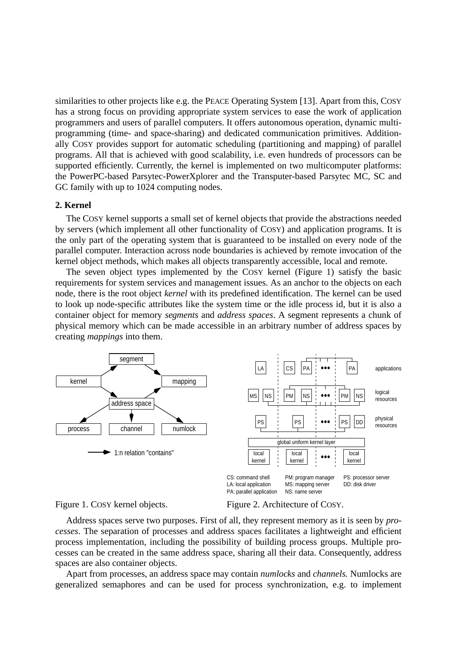similarities to other projects like e.g. the PEACE Operating System [13]. Apart from this, COSY has a strong focus on providing appropriate system services to ease the work of application programmers and users of parallel computers. It offers autonomous operation, dynamic multiprogramming (time- and space-sharing) and dedicated communication primitives. Additionally COSY provides support for automatic scheduling (partitioning and mapping) of parallel programs. All that is achieved with good scalability, i.e. even hundreds of processors can be supported efficiently. Currently, the kernel is implemented on two multicomputer platforms: the PowerPC-based Parsytec-PowerXplorer and the Transputer-based Parsytec MC, SC and GC family with up to 1024 computing nodes.

## **2. Kernel**

The COSY kernel supports a small set of kernel objects that provide the abstractions needed by servers (which implement all other functionality of COSY) and application programs. It is the only part of the operating system that is guaranteed to be installed on every node of the parallel computer. Interaction across node boundaries is achieved by remote invocation of the kernel object methods, which makes all objects transparently accessible, local and remote.

The seven object types implemented by the COSY kernel (Figure 1) satisfy the basic requirements for system services and management issues. As an anchor to the objects on each node, there is the root object *kernel* with its predefined identification. The kernel can be used to look up node-specific attributes like the system time or the idle process id, but it is also a container object for memory *segments* and *address spaces*. A segment represents a chunk of physical memory which can be made accessible in an arbitrary number of address spaces by creating *mappings* into them.





Address spaces serve two purposes. First of all, they represent memory as it is seen by *processes*. The separation of processes and address spaces facilitates a lightweight and efficient process implementation, including the possibility of building process groups. Multiple processes can be created in the same address space, sharing all their data. Consequently, address spaces are also container objects.

Apart from processes, an address space may contain *numlocks* and *channels.* Numlocks are generalized semaphores and can be used for process synchronization, e.g. to implement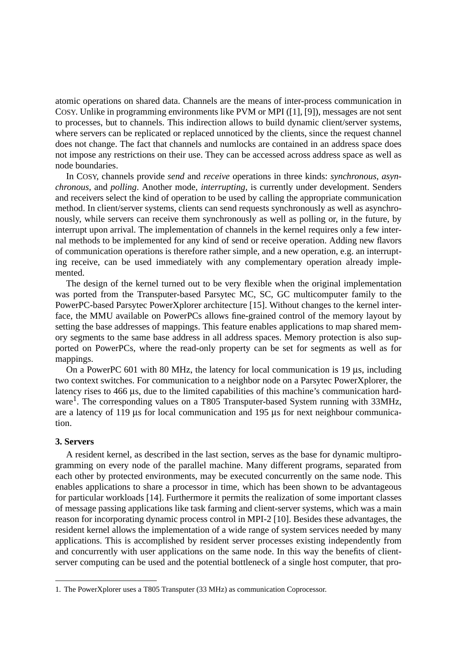atomic operations on shared data. Channels are the means of inter-process communication in COSY. Unlike in programming environments like PVM or MPI ([1], [9]), messages are not sent to processes, but to channels. This indirection allows to build dynamic client/server systems, where servers can be replicated or replaced unnoticed by the clients, since the request channel does not change. The fact that channels and numlocks are contained in an address space does not impose any restrictions on their use. They can be accessed across address space as well as node boundaries.

In COSY, channels provide *send* and *receive* operations in three kinds: *synchronous*, *asynchronous*, and *polling*. Another mode, *interrupting*, is currently under development. Senders and receivers select the kind of operation to be used by calling the appropriate communication method. In client/server systems, clients can send requests synchronously as well as asynchronously, while servers can receive them synchronously as well as polling or, in the future, by interrupt upon arrival. The implementation of channels in the kernel requires only a few internal methods to be implemented for any kind of send or receive operation. Adding new flavors of communication operations is therefore rather simple, and a new operation, e.g. an interrupting receive, can be used immediately with any complementary operation already implemented.

The design of the kernel turned out to be very flexible when the original implementation was ported from the Transputer-based Parsytec MC, SC, GC multicomputer family to the PowerPC-based Parsytec PowerXplorer architecture [15]. Without changes to the kernel interface, the MMU available on PowerPCs allows fine-grained control of the memory layout by setting the base addresses of mappings. This feature enables applications to map shared memory segments to the same base address in all address spaces. Memory protection is also supported on PowerPCs, where the read-only property can be set for segments as well as for mappings.

On a PowerPC 601 with 80 MHz, the latency for local communication is 19 μs, including two context switches. For communication to a neighbor node on a Parsytec PowerXplorer, the latency rises to 466 μs, due to the limited capabilities of this machine's communication hardware<sup>1</sup>. The corresponding values on a T805 Transputer-based System running with 33MHz, are a latency of 119 μs for local communication and 195 μs for next neighbour communication.

## **3. Servers**

A resident kernel, as described in the last section, serves as the base for dynamic multiprogramming on every node of the parallel machine. Many different programs, separated from each other by protected environments, may be executed concurrently on the same node. This enables applications to share a processor in time, which has been shown to be advantageous for particular workloads [14]. Furthermore it permits the realization of some important classes of message passing applications like task farming and client-server systems, which was a main reason for incorporating dynamic process control in MPI-2 [10]. Besides these advantages, the resident kernel allows the implementation of a wide range of system services needed by many applications. This is accomplished by resident server processes existing independently from and concurrently with user applications on the same node. In this way the benefits of clientserver computing can be used and the potential bottleneck of a single host computer, that pro-

<sup>1.</sup> The PowerXplorer uses a T805 Transputer (33 MHz) as communication Coprocessor.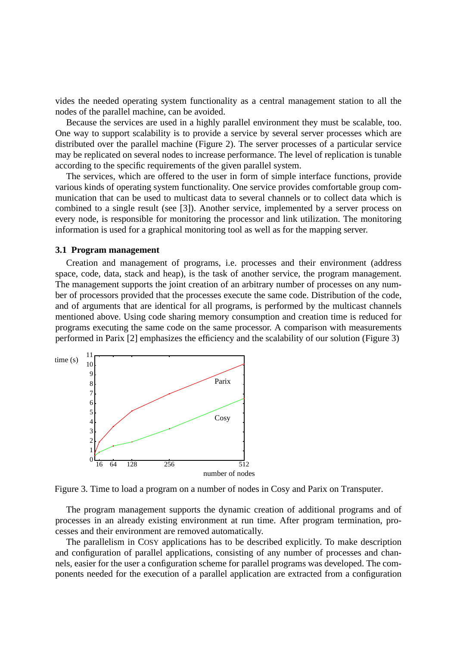vides the needed operating system functionality as a central management station to all the nodes of the parallel machine, can be avoided.

Because the services are used in a highly parallel environment they must be scalable, too. One way to support scalability is to provide a service by several server processes which are distributed over the parallel machine (Figure 2). The server processes of a particular service may be replicated on several nodes to increase performance. The level of replication is tunable according to the specific requirements of the given parallel system.

The services, which are offered to the user in form of simple interface functions, provide various kinds of operating system functionality. One service provides comfortable group communication that can be used to multicast data to several channels or to collect data which is combined to a single result (see [3]). Another service, implemented by a server process on every node, is responsible for monitoring the processor and link utilization. The monitoring information is used for a graphical monitoring tool as well as for the mapping server.

## **3.1 Program management**

Creation and management of programs, i.e. processes and their environment (address space, code, data, stack and heap), is the task of another service, the program management. The management supports the joint creation of an arbitrary number of processes on any number of processors provided that the processes execute the same code. Distribution of the code, and of arguments that are identical for all programs, is performed by the multicast channels mentioned above. Using code sharing memory consumption and creation time is reduced for programs executing the same code on the same processor. A comparison with measurements performed in Parix [2] emphasizes the efficiency and the scalability of our solution (Figure 3)





The program management supports the dynamic creation of additional programs and of processes in an already existing environment at run time. After program termination, processes and their environment are removed automatically.

The parallelism in COSY applications has to be described explicitly. To make description and configuration of parallel applications, consisting of any number of processes and channels, easier for the user a configuration scheme for parallel programs was developed. The components needed for the execution of a parallel application are extracted from a configuration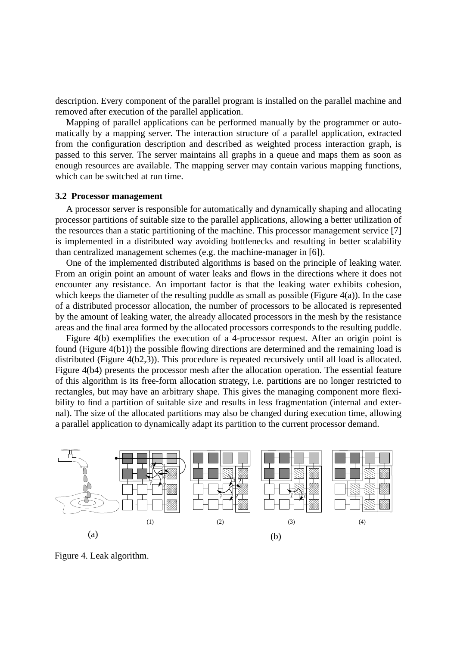description. Every component of the parallel program is installed on the parallel machine and removed after execution of the parallel application.

Mapping of parallel applications can be performed manually by the programmer or automatically by a mapping server. The interaction structure of a parallel application, extracted from the configuration description and described as weighted process interaction graph, is passed to this server. The server maintains all graphs in a queue and maps them as soon as enough resources are available. The mapping server may contain various mapping functions, which can be switched at run time.

#### **3.2 Processor management**

A processor server is responsible for automatically and dynamically shaping and allocating processor partitions of suitable size to the parallel applications, allowing a better utilization of the resources than a static partitioning of the machine. This processor management service [7] is implemented in a distributed way avoiding bottlenecks and resulting in better scalability than centralized management schemes (e.g. the machine-manager in [6]).

One of the implemented distributed algorithms is based on the principle of leaking water. From an origin point an amount of water leaks and flows in the directions where it does not encounter any resistance. An important factor is that the leaking water exhibits cohesion, which keeps the diameter of the resulting puddle as small as possible (Figure  $4(a)$ ). In the case of a distributed processor allocation, the number of processors to be allocated is represented by the amount of leaking water, the already allocated processors in the mesh by the resistance areas and the final area formed by the allocated processors corresponds to the resulting puddle.

Figure 4(b) exemplifies the execution of a 4-processor request. After an origin point is found (Figure 4(b1)) the possible flowing directions are determined and the remaining load is distributed (Figure 4(b2,3)). This procedure is repeated recursively until all load is allocated. Figure 4(b4) presents the processor mesh after the allocation operation. The essential feature of this algorithm is its free-form allocation strategy, i.e. partitions are no longer restricted to rectangles, but may have an arbitrary shape. This gives the managing component more flexibility to find a partition of suitable size and results in less fragmentation (internal and external). The size of the allocated partitions may also be changed during execution time, allowing a parallel application to dynamically adapt its partition to the current processor demand.



Figure 4. Leak algorithm.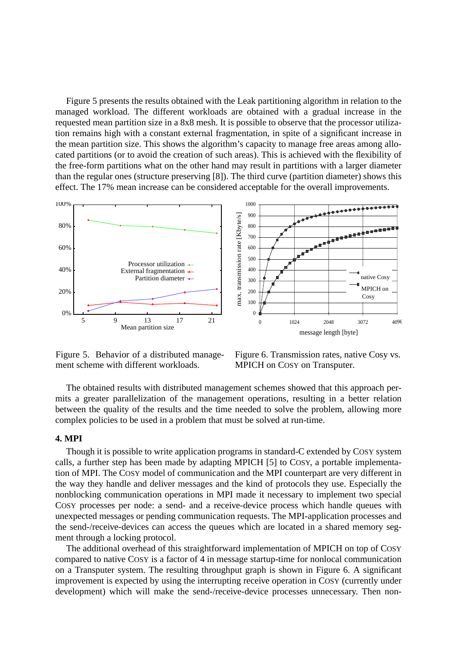Figure 5 presents the results obtained with the Leak partitioning algorithm in relation to the managed workload. The different workloads are obtained with a gradual increase in the requested mean partition size in a 8x8 mesh. It is possible to observe that the processor utilization remains high with a constant external fragmentation, in spite of a significant increase in the mean partition size. This shows the algorithm's capacity to manage free areas among allocated partitions (or to avoid the creation of such areas). This is achieved with the flexibility of the free-form partitions what on the other hand may result in partitions with a larger diameter than the regular ones (structure preserving [8]). The third curve (partition diameter) shows this effect. The 17% mean increase can be considered acceptable for the overall improvements.



Figure 5. Behavior of a distributed management scheme with different workloads.

Figure 6. Transmission rates, native Cosy vs. MPICH on COSY on Transputer.

The obtained results with distributed management schemes showed that this approach permits a greater parallelization of the management operations, resulting in a better relation between the quality of the results and the time needed to solve the problem, allowing more complex policies to be used in a problem that must be solved at run-time.

#### **4. MPI**

Though it is possible to write application programs in standard-C extended by COSY system calls, a further step has been made by adapting MPICH [5] to COSY, a portable implementation of MPI. The COSY model of communication and the MPI counterpart are very different in the way they handle and deliver messages and the kind of protocols they use. Especially the nonblocking communication operations in MPI made it necessary to implement two special COSY processes per node: a send- and a receive-device process which handle queues with unexpected messages or pending communication requests. The MPI-application processes and the send-/receive-devices can access the queues which are located in a shared memory segment through a locking protocol.

The additional overhead of this straightforward implementation of MPICH on top of COSY compared to native COSY is a factor of 4 in message startup-time for nonlocal communication on a Transputer system. The resulting throughput graph is shown in Figure 6. A significant improvement is expected by using the interrupting receive operation in COSY (currently under development) which will make the send-/receive-device processes unnecessary. Then non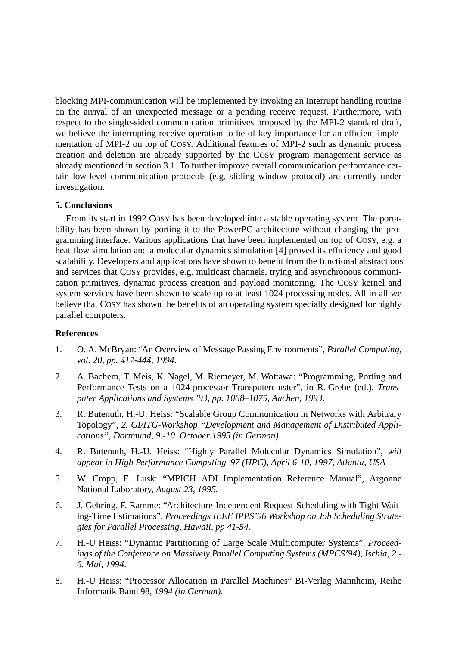blocking MPI-communication will be implemented by invoking an interrupt handling routine on the arrival of an unexpected message or a pending receive request. Furthermore, with respect to the single-sided communication primitives proposed by the MPI-2 standard draft, we believe the interrupting receive operation to be of key importance for an efficient implementation of MPI-2 on top of COSY. Additional features of MPI-2 such as dynamic process creation and deletion are already supported by the COSY program management service as already mentioned in section 3.1. To further improve overall communication performance certain low-level communication protocols (e.g. sliding window protocol) are currently under investigation.

## **5. Conclusions**

From its start in 1992 COSY has been developed into a stable operating system. The portability has been shown by porting it to the PowerPC architecture without changing the programming interface. Various applications that have been implemented on top of COSY, e.g. a heat flow simulation and a molecular dynamics simulation [4] proved its efficiency and good scalability. Developers and applications have shown to benefit from the functional abstractions and services that COSY provides, e.g. multicast channels, trying and asynchronous communication primitives, dynamic process creation and payload monitoring. The COSY kernel and system services have been shown to scale up to at least 1024 processing nodes. All in all we believe that COSY has shown the benefits of an operating system specially designed for highly parallel computers.

#### **References**

- 1. O. A. McBryan: "An Overview of Message Passing Environments", *Parallel Computing, vol. 20, pp. 417-444, 1994*.
- 2. A. Bachem, T. Meis, K. Nagel, M. Riemeyer, M. Wottawa: "Programming, Porting and Performance Tests on a 1024-processor Transputercluster", in R. Grebe (ed.), *Transputer Applications and Systems '93*, *pp. 1068–1075, Aachen, 1993*.
- 3. R. Butenuth, H.-U. Heiss: "Scalable Group Communication in Networks with Arbitrary Topology", *2. GI/ITG-Workshop "Development and Management of Distributed Applications", Dortmund, 9.-10. October 1995 (in German)*.
- 4. R. Butenuth, H.-U. Heiss: "Highly Parallel Molecular Dynamics Simulation"*, will appear in High Performance Computing '97 (HPC), April 6-10, 1997, Atlanta, USA*
- 5. W. Cropp, E. Lusk: "MPICH ADI Implementation Reference Manual", Argonne National Laboratory, *August 23, 1995.*
- 6. J. Gehring, F. Ramme: "Architecture-Independent Request-Scheduling with Tight Waiting-Time Estimations", *Proceedings IEEE IPPS'96 Workshop on Job Scheduling Strategies for Parallel Processing, Hawaii, pp 41-54*.
- 7. H.-U Heiss: "Dynamic Partitioning of Large Scale Multicomputer Systems", *Proceedings of the Conference on Massively Parallel Computing Systems (MPCS'94)*, *Ischia, 2.- 6. Mai, 1994*.
- 8. H.-U Heiss: "Processor Allocation in Parallel Machines" BI-Verlag Mannheim, Reihe Informatik Band 98, *1994 (in German).*